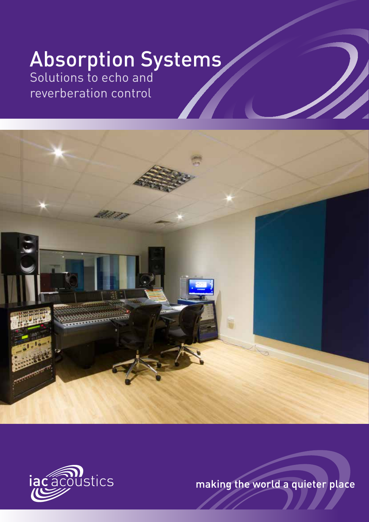## Absorption Systems

Solutions to echo and reverberation control





making the world a quieter place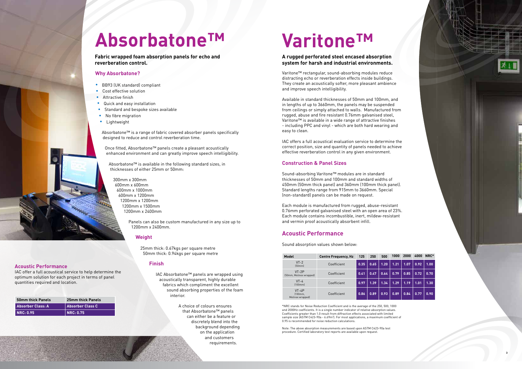**2**

# AbsorbatoneTM

**Fabric wrapped foam absorption panels for echo and reverberation control.**

#### **Why Absorbatone?**

- BB93 (UK standard) compliant
- Cost effective solution
- **•** Attractive finish
- **Quick and easy installation**
- **•** Standard and bespoke sizes available
- No fibre migration
- **•** Lightweight

Absorbatone™ is a range of fabric covered absorber panels specifically designed to reduce and control reverberation time.

Once fitted, Absorbatone™ panels create a pleasant acoustically enhanced environment and can greatly improve speech intelligibility.

Absorbatone™ is available in the following standard sizes, in thicknesses of either 25mm or 50mm:

300mm x 300mm 600mm x 600mm 600mm x 1000mm 600mm x 1200mm 1200mm x 1200mm 1200mm x 1500mm 1200mm x 2400mm

> Panels can also be custom manufactured in any size up to 1200mm x 2400mm.

#### **Weight**

25mm thick: 0.67kgs per square metre 50mm thick: 0.94kgs per square metre

#### **Finish**

IAC Absorbatone™ panels are wrapped using acoustically transparent, highly durable fabrics which compliment the excellent sound absorbing properties of the foam interior.

> A choice of colours ensures that Absorbatone™ panels can either be a feature or discretely blend into the background depending on the application and customers requirements.

#### **Acoustic Performance**

IAC offer a full acoustical service to help determine the optimum solution for each project in terms of panel quantities required and location.

| 50mm thick Panels | 25mm thick Panels                  |
|-------------------|------------------------------------|
| Absorber Class: A | Absorber Class C                   |
| <b>INRC: 0.95</b> | $\overline{\phantom{a}}$ NRC: 0.75 |

**3**

# **Varitone™**

#### **A rugged perforated steel encased absorption system for harsh and industrial environments.**

Varitone™ rectangular, sound-absorbing modules reduce distracting echo or reverberation effects inside buildings. They create an acoustically softer, more pleasant ambience and improve speech intelligibility.

Available in standard thicknesses of 50mm and 100mm, and in lengths of up to 3660mm, the panels may be suspended from ceilings or simply attached to walls. Manufactured from rugged, abuse and fire resistant 0.76mm galvanised steel, Varitone™ is available in a wide range of attractive finishes - including PPC and vinyl - which are both hard wearing and easy to clean.

IAC offers a full acoustical evaluation service to determine the correct position, size and quantity of panels needed to achieve effective reverberation control in any given environment.

#### **Construction & Panel Sizes**

Sound-absorbing Varitone™ modules are in standard thicknesses of 50mm and 100mm and standard widths of 450mm (50mm thick panel) and 360mm (100mm thick panel). Standard lengths range from 915mm to 3660mm. Special (non-standard) panels can be made on request.

Each module is manufactured from rugged, abuse-resistant 0.76mm perforated galvanised steel with an open area of 23%. Each module contains incombustible, inert, mildew-resistant and vermin proof acoustically absorbent infill.

#### **Acoustic Performance**

Sound absorption values shown below:

| Model                                    | <b>Centre Frequency, Hz</b> | 125  | 250  | 500  | 1000 | 2000 | 4000 | NRC* |
|------------------------------------------|-----------------------------|------|------|------|------|------|------|------|
| $VT-2$<br>[50mm]                         | Coefficient                 | 0.35 | 0.65 | 1.20 | 1.21 | 1.07 | 0.92 | 1.00 |
| $VT-2P$<br>(50mm, Melinex wrapped)       | Coefficient                 | 0.41 | 0.47 | 0.64 | 0.79 | 0.85 | 0.72 | 0.70 |
| $VT-4$<br>[100mm]                        | Coefficient                 | 0.97 | 1.39 | 1.34 | 1.29 | 1.19 | 1.01 | 1.30 |
| $VT-4P$<br>$100$ mm.<br>Melinex wrapped) | Coefficient                 | 0.86 | 0.89 | 0.93 | 0.89 | 0.84 | 0.77 | 0.90 |

\*NRC stands for Noise Reduction Coefficient and is the average of the 250, 500, 1000 and 2000Hz coefficients. It is a single number indicator of relative absorption values. Coefficients greater than 1.0 result from diffraction effects associated with limited sample size (ASTM C423-90a - 6.69m<sup>2</sup>). For most applications, a maximum coefficient of 0.95 is recommended for noise reduction calculations.

Note: The above absorption measurements are based upon ASTM C423-90a test procedure. Certified laboratory test reports are available upon request.